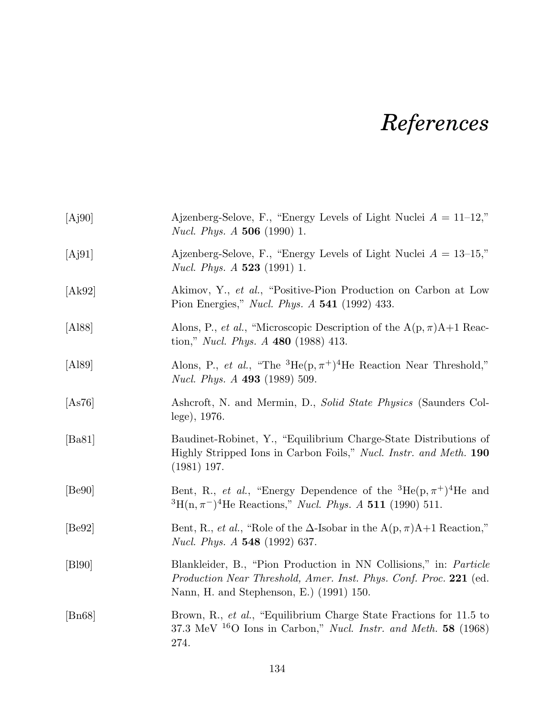## *References*

| [Aj90]               | Ajzenberg-Selove, F., "Energy Levels of Light Nuclei $A = 11-12$ ,"<br><i>Nucl. Phys. A</i> 506 (1990) 1.                                                                          |
|----------------------|------------------------------------------------------------------------------------------------------------------------------------------------------------------------------------|
| [Aj91]               | Ajzenberg-Selove, F., "Energy Levels of Light Nuclei $A = 13{\text -}15$ ,"<br><i>Nucl. Phys. A</i> <b>523</b> (1991) 1.                                                           |
| [Ak92]               | Akimov, Y., et al., "Positive-Pion Production on Carbon at Low<br>Pion Energies," <i>Nucl. Phys. A</i> 541 (1992) 433.                                                             |
| [A188]               | Alons, P., <i>et al.</i> , "Microscopic Description of the $A(p, \pi)A+1$ Reac-<br>tion," <i>Nucl. Phys. A</i> 480 (1988) 413.                                                     |
| [A189]               | Alons, P., <i>et al.</i> , "The ${}^{3}He(p, \pi^{+}){}^{4}He$ Reaction Near Threshold,"<br><i>Nucl. Phys. A</i> 493 (1989) 509.                                                   |
| [As76]               | Ashcroft, N. and Mermin, D., Solid State Physics (Saunders Col-<br>lege), 1976.                                                                                                    |
| [Ba81]               | Baudinet-Robinet, Y., "Equilibrium Charge-State Distributions of<br>Highly Stripped Ions in Carbon Foils," Nucl. Instr. and Meth. 190<br>$(1981)$ 197.                             |
| [Be90]               | Bent, R., <i>et al.</i> , "Energy Dependence of the ${}^{3}He(p, \pi^{+}){}^{4}He$ and<br>${}^{3}H(n,\pi^{-}){}^{4}He$ Reactions," <i>Nucl. Phys. A</i> 511 (1990) 511.            |
| [Be92]               | Bent, R., <i>et al.</i> , "Role of the $\Delta$ -Isobar in the A(p, $\pi$ )A+1 Reaction,"<br><i>Nucl. Phys. A</i> 548 (1992) 637.                                                  |
| [Bl90]               | Blankleider, B., "Pion Production in NN Collisions," in: Particle<br>Production Near Threshold, Amer. Inst. Phys. Conf. Proc. 221 (ed.<br>Nann, H. and Stephenson, E.) (1991) 150. |
| $\vert$ Bn68 $\vert$ | Brown, R., et al., "Equilibrium Charge State Fractions for 11.5 to<br>37.3 MeV $^{16}$ O Ions in Carbon," Nucl. Instr. and Meth. 58 (1968)<br>274.                                 |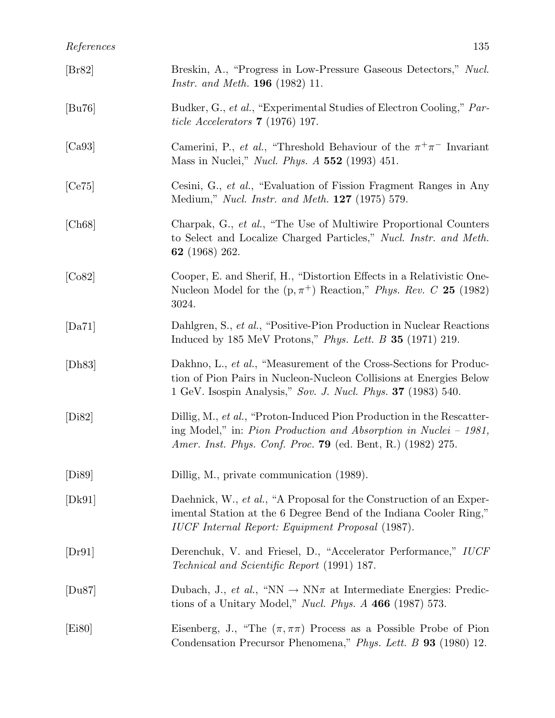| References                 | 135                                                                                                                                |
|----------------------------|------------------------------------------------------------------------------------------------------------------------------------|
| $\left[\text{Br}82\right]$ | Breskin, A., "Progress in Low-Pressure Gaseous Detectors," Nucl.<br><i>Instr. and Meth.</i> <b>196</b> (1982) 11.                  |
| [Bu76]                     | Budker, G., et al., "Experimental Studies of Electron Cooling," Par-<br>ticle Accelerators $7(1976)$ 197.                          |
| [Ca93]                     | Camerini, P., et al., "Threshold Behaviour of the $\pi^+\pi^-$ Invariant<br>Mass in Nuclei," <i>Nucl. Phys. A</i> 552 (1993) 451.  |
| [Ce75]                     | Cesini, G., et al., "Evaluation of Fission Fragment Ranges in Any<br>Medium," <i>Nucl. Instr. and Meth.</i> <b>127</b> (1975) 579. |

[Ch68] Charpak, G., *et al.*, "The Use of Multiwire Proportional Counters to Select and Localize Charged Particles," *Nucl. Instr. and Meth.* 62 (1968) 262.

- [Co82] Cooper, E. and Sherif, H., "Distortion Effects in a Relativistic One-Nucleon Model for the  $(p, \pi^+)$  Reaction," *Phys. Rev. C* 25 (1982) 3024.
- [Da71] Dahlgren, S., *et al.*, "Positive-Pion Production in Nuclear Reactions Induced by 185 MeV Protons," *Phys. Lett. B* 35 (1971) 219.
- [Dh83] Dakhno, L., *et al.*, "Measurement of the Cross-Sections for Production of Pion Pairs in Nucleon-Nucleon Collisions at Energies Below 1 GeV. Isospin Analysis," *Sov. J. Nucl. Phys.* 37 (1983) 540.
- [Di82] Dillig, M., *et al.*, "Proton-Induced Pion Production in the Rescattering Model," in: *Pion Production and Absorption in Nuclei – 1981, Amer. Inst. Phys. Conf. Proc.* 79 (ed. Bent, R.) (1982) 275.
- [Di89] Dillig, M., private communication (1989).
- [Dk91] Daehnick, W., *et al.*, "A Proposal for the Construction of an Experimental Station at the 6 Degree Bend of the Indiana Cooler Ring," *IUCF Internal Report: Equipment Proposal* (1987).
- [Dr91] Derenchuk, V. and Friesel, D., "Accelerator Performance," *IUCF Technical and Scientific Report* (1991) 187.
- [Du87] Dubach, J., *et al.*, "NN  $\rightarrow$  NN $\pi$  at Intermediate Energies: Predictions of a Unitary Model," *Nucl. Phys. A* 466 (1987) 573.
- [Ei80] Eisenberg, J., "The  $(\pi, \pi\pi)$  Process as a Possible Probe of Pion Condensation Precursor Phenomena," *Phys. Lett. B* 93 (1980) 12.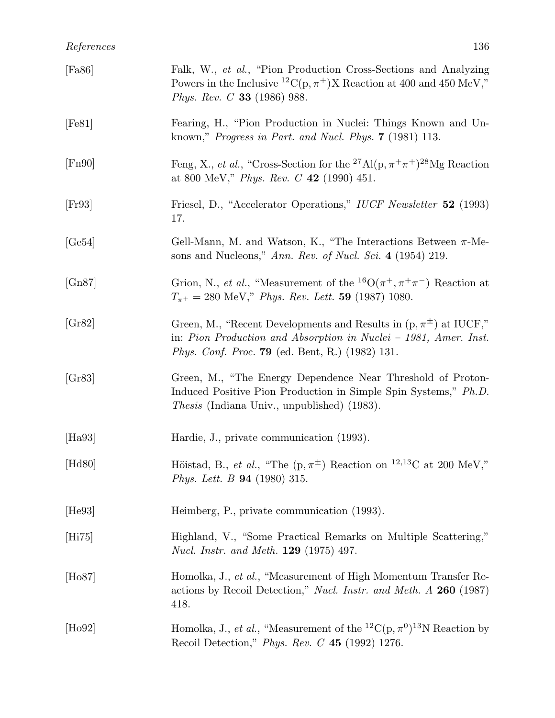| [Fa86]          | Falk, W., et al., "Pion Production Cross-Sections and Analyzing<br>Powers in the Inclusive <sup>12</sup> C(p, $\pi$ <sup>+</sup> )X Reaction at 400 and 450 MeV,"<br><i>Phys. Rev. C</i> 33 (1986) 988.            |
|-----------------|--------------------------------------------------------------------------------------------------------------------------------------------------------------------------------------------------------------------|
| [Fe81]          | Fearing, H., "Pion Production in Nuclei: Things Known and Un-<br>known," <i>Progress in Part. and Nucl. Phys.</i> $7$ (1981) 113.                                                                                  |
| [Fn90]          | Feng, X., <i>et al.</i> , "Cross-Section for the <sup>27</sup> Al(p, $\pi^{+}\pi^{+}$ ) <sup>28</sup> Mg Reaction<br>at 800 MeV," Phys. Rev. C 42 (1990) 451.                                                      |
| [Fr93]          | Friesel, D., "Accelerator Operations," IUCF Newsletter 52 (1993)<br>17.                                                                                                                                            |
| [Ge54]          | Gell-Mann, M. and Watson, K., "The Interactions Between $\pi$ -Me-<br>sons and Nucleons," Ann. Rev. of Nucl. Sci. 4 (1954) 219.                                                                                    |
| [Gn87]          | Grion, N., <i>et al.</i> , "Measurement of the <sup>16</sup> O( $\pi$ <sup>+</sup> , $\pi$ <sup>+</sup> $\pi$ <sup>-</sup> ) Reaction at<br>$T_{\pi^+} = 280$ MeV," <i>Phys. Rev. Lett.</i> <b>59</b> (1987) 1080. |
| [Gr82]          | Green, M., "Recent Developments and Results in $(p, \pi^{\pm})$ at IUCF,"<br>in: Pion Production and Absorption in Nuclei - 1981, Amer. Inst.<br><i>Phys. Conf. Proc.</i> <b>79</b> (ed. Bent, R.) (1982) 131.     |
| [Gr83]          | Green, M., "The Energy Dependence Near Threshold of Proton-<br>Induced Positive Pion Production in Simple Spin Systems," Ph.D.<br><i>Thesis</i> (Indiana Univ., unpublished) (1983).                               |
| [Ha93]          | Hardie, J., private communication (1993).                                                                                                                                                                          |
| $[\text{Hd80}]$ | Höistad, B., et al., "The $(p, \pi^{\pm})$ Reaction on <sup>12,13</sup> C at 200 MeV,"<br><i>Phys. Lett. B</i> <b>94</b> (1980) 315.                                                                               |
| [He93]          | Heimberg, P., private communication (1993).                                                                                                                                                                        |
| [Hi75]          | Highland, V., "Some Practical Remarks on Multiple Scattering,"<br><i>Nucl. Instr. and Meth.</i> <b>129</b> (1975) 497.                                                                                             |
| $[\text{Ho}87]$ | Homolka, J., et al., "Measurement of High Momentum Transfer Re-<br>actions by Recoil Detection," Nucl. Instr. and Meth. A 260 (1987)<br>418.                                                                       |
| $[\text{Ho}92]$ | Homolka, J., et al., "Measurement of the <sup>12</sup> C(p, $\pi$ <sup>0</sup> ) <sup>13</sup> N Reaction by<br>Recoil Detection," Phys. Rev. $C$ 45 (1992) 1276.                                                  |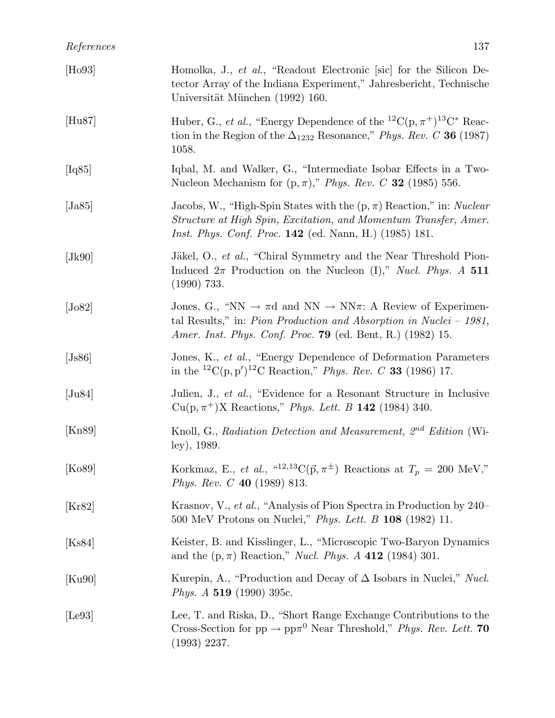| [Ho93]              | Homolka, J., et al., "Readout Electronic [sic] for the Silicon De-<br>tector Array of the Indiana Experiment," Jahresbericht, Technische<br>Universität München (1992) 160.                                                                        |
|---------------------|----------------------------------------------------------------------------------------------------------------------------------------------------------------------------------------------------------------------------------------------------|
| [Hu87]              | Huber, G., <i>et al.</i> , "Energy Dependence of the <sup>12</sup> C(p, $\pi$ <sup>+</sup> ) <sup>13</sup> C* Reac-<br>tion in the Region of the $\Delta_{1232}$ Resonance," Phys. Rev. C 36 (1987)<br>1058.                                       |
| [Iq85]              | Iqbal, M. and Walker, G., "Intermediate Isobar Effects in a Two-<br>Nucleon Mechanism for $(p, \pi)$ ," <i>Phys. Rev. C</i> 32 (1985) 556.                                                                                                         |
| Ja85                | Jacobs, W., "High-Spin States with the $(p, \pi)$ Reaction," in: Nuclear<br>Structure at High Spin, Excitation, and Momentum Transfer, Amer.<br><i>Inst. Phys. Conf. Proc.</i> 142 (ed. Nann, H.) (1985) 181.                                      |
| [Jk90]              | Jäkel, O., et al., "Chiral Symmetry and the Near Threshold Pion-<br>Induced $2\pi$ Production on the Nucleon (I)," <i>Nucl. Phys.</i> A 511<br>$(1990)$ 733.                                                                                       |
| [ <sub>J</sub> o82] | Jones, G., "NN $\rightarrow \pi d$ and NN $\rightarrow NN\pi$ : A Review of Experimen-<br>tal Results," in: <i>Pion Production and Absorption in Nuclei</i> $- 1981$ ,<br><i>Amer. Inst. Phys. Conf. Proc.</i> <b>79</b> (ed. Bent, R.) (1982) 15. |
| [Js86]              | Jones, K., et al., "Energy Dependence of Deformation Parameters"<br>in the <sup>12</sup> C(p, p') <sup>12</sup> C Reaction," <i>Phys. Rev. C</i> <b>33</b> (1986) 17.                                                                              |
| $[\text{Ju}84]$     | Julien, J., et al., "Evidence for a Resonant Structure in Inclusive<br>$Cu(p, \pi^{+})X$ Reactions," <i>Phys. Lett. B</i> 142 (1984) 340.                                                                                                          |
| [Kn89]              | Knoll, G., Radiation Detection and Measurement, 2 <sup>nd</sup> Edition (Wi-<br>ley), 1989.                                                                                                                                                        |
| [Ko89]              | Korkmaz, E., et al., " <sup>12,13</sup> C( $\vec{p}, \pi^{\pm}$ ) Reactions at $T_p = 200$ MeV,"<br><i>Phys. Rev. C</i> 40 (1989) 813.                                                                                                             |
| [Kr82]              | Krasnov, V., et al., "Analysis of Pion Spectra in Production by 240-<br>500 MeV Protons on Nuclei," <i>Phys. Lett. B</i> 108 (1982) 11.                                                                                                            |
| [Ks84]              | Keister, B. and Kisslinger, L., "Microscopic Two-Baryon Dynamics<br>and the $(p, \pi)$ Reaction," <i>Nucl. Phys. A</i> 412 (1984) 301.                                                                                                             |
| [Ku90]              | Kurepin, A., "Production and Decay of $\Delta$ Isobars in Nuclei," Nucl.<br><i>Phys.</i> $A$ 519 (1990) 395c.                                                                                                                                      |
| [Le93]              | Lee, T. and Riska, D., "Short Range Exchange Contributions to the<br>Cross-Section for $pp \to pp\pi^0$ Near Threshold," <i>Phys. Rev. Lett.</i> 70<br>$(1993)$ 2237.                                                                              |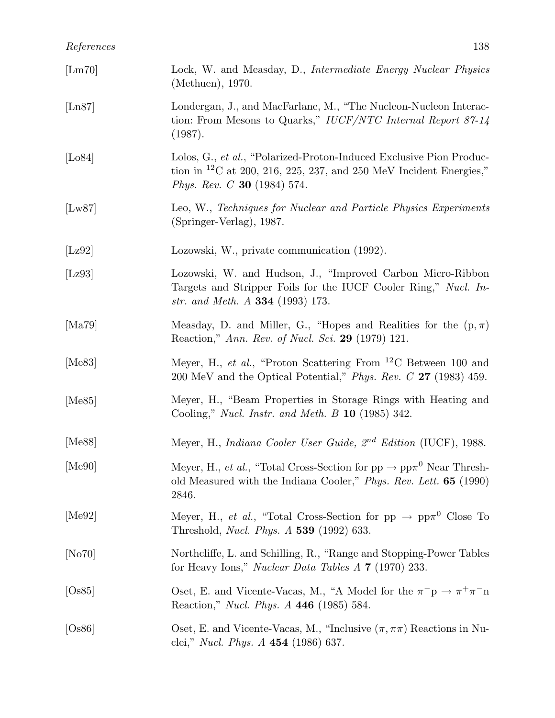## *References* 138

| $[{\rm Lm}70]$              | Lock, W. and Measday, D., <i>Intermediate Energy Nuclear Physics</i><br>(Methuen), 1970.                                                                                                           |
|-----------------------------|----------------------------------------------------------------------------------------------------------------------------------------------------------------------------------------------------|
| $\left[ \text{Ln}87\right]$ | Londergan, J., and MacFarlane, M., "The Nucleon-Nucleon Interac-<br>tion: From Mesons to Quarks," IUCF/NTC Internal Report $87-14$<br>(1987).                                                      |
| [Lo84]                      | Lolos, G., et al., "Polarized-Proton-Induced Exclusive Pion Produc-<br>tion in <sup>12</sup> C at 200, 216, 225, 237, and 250 MeV Incident Energies,"<br><i>Phys. Rev. C</i> <b>30</b> (1984) 574. |
| [Lw87]                      | Leo, W., Techniques for Nuclear and Particle Physics Experiments<br>(Springer-Verlag), 1987.                                                                                                       |
| [Lz92]                      | Lozowski, W., private communication (1992).                                                                                                                                                        |
| [Lz93]                      | Lozowski, W. and Hudson, J., "Improved Carbon Micro-Ribbon<br>Targets and Stripper Foils for the IUCF Cooler Ring," Nucl. In-<br>str. and Meth. A <b>334</b> (1993) 173.                           |
| [Ma79]                      | Measday, D. and Miller, G., "Hopes and Realities for the $(p, \pi)$ "<br>Reaction," Ann. Rev. of Nucl. Sci. 29 (1979) 121.                                                                         |
| [ $Me83$ ]                  | Meyer, H., et al., "Proton Scattering From ${}^{12}$ C Between 100 and<br>200 MeV and the Optical Potential," <i>Phys. Rev. C</i> 27 (1983) 459.                                                   |
| [Me $85$ ]                  | Meyer, H., "Beam Properties in Storage Rings with Heating and<br>Cooling," Nucl. Instr. and Meth. $B$ 10 (1985) 342.                                                                               |
| [Me88]                      | Meyer, H., Indiana Cooler User Guide, 2 <sup>nd</sup> Edition (IUCF), 1988.                                                                                                                        |
| [Me90]                      | Meyer, H., <i>et al.</i> , "Total Cross-Section for $pp \rightarrow pp\pi^0$ Near Thresh-<br>old Measured with the Indiana Cooler," Phys. Rev. Lett. <b>65</b> (1990)<br>2846.                     |
| [Me92]                      | Meyer, H., et al., "Total Cross-Section for $pp \rightarrow pp\pi^0$ Close To<br>Threshold, <i>Nucl. Phys. A</i> 539 (1992) 633.                                                                   |
| [No70]                      | Northcliffe, L. and Schilling, R., "Range and Stopping-Power Tables"<br>for Heavy Ions," <i>Nuclear Data Tables A</i> $7$ (1970) 233.                                                              |
| [Os85]                      | Oset, E. and Vicente-Vacas, M., "A Model for the $\pi^- p \to \pi^+ \pi^- n$<br>Reaction," <i>Nucl. Phys. A</i> 446 (1985) 584.                                                                    |
| [Os86]                      | Oset, E. and Vicente-Vacas, M., "Inclusive $(\pi, \pi\pi)$ Reactions in Nu-<br>clei," <i>Nucl. Phys. A</i> $454$ (1986) 637.                                                                       |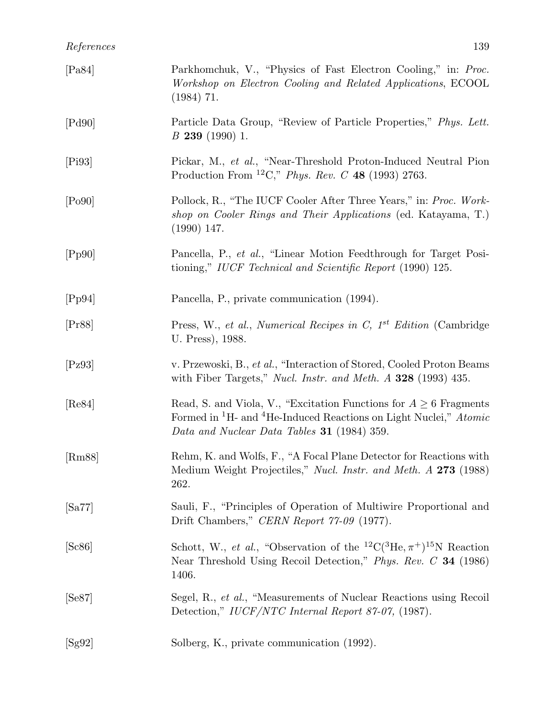| [Pa84] | Parkhomchuk, V., "Physics of Fast Electron Cooling," in: Proc.<br>Workshop on Electron Cooling and Related Applications, ECOOL<br>$(1984)$ 71.                                                                           |
|--------|--------------------------------------------------------------------------------------------------------------------------------------------------------------------------------------------------------------------------|
| [Pd90] | Particle Data Group, "Review of Particle Properties," Phys. Lett.<br>$B$ 239 (1990) 1.                                                                                                                                   |
| [Pi93] | Pickar, M., et al., "Near-Threshold Proton-Induced Neutral Pion<br>Production From <sup>12</sup> C," <i>Phys. Rev. C</i> 48 (1993) 2763.                                                                                 |
| [Po90] | Pollock, R., "The IUCF Cooler After Three Years," in: Proc. Work-<br>shop on Cooler Rings and Their Applications (ed. Katayama, T.)<br>$(1990)$ 147.                                                                     |
| [Pp90] | Pancella, P., et al., "Linear Motion Feedthrough for Target Posi-<br>tioning," IUCF Technical and Scientific Report (1990) 125.                                                                                          |
| [Pp94] | Pancella, P., private communication (1994).                                                                                                                                                                              |
| [Pr88] | Press, W., et al., Numerical Recipes in C, $1^{st}$ Edition (Cambridge<br>U. Press), 1988.                                                                                                                               |
| [Pz93] | v. Przewoski, B., et al., "Interaction of Stored, Cooled Proton Beams<br>with Fiber Targets," Nucl. Instr. and Meth. $\Lambda$ 328 (1993) 435.                                                                           |
| [Re84] | Read, S. and Viola, V., "Excitation Functions for $A \geq 6$ Fragments<br>Formed in <sup>1</sup> H- and <sup>4</sup> He-Induced Reactions on Light Nuclei," <i>Atomic</i><br>Data and Nuclear Data Tables 31 (1984) 359. |
| [Rm88] | Rehm, K. and Wolfs, F., "A Focal Plane Detector for Reactions with<br>Medium Weight Projectiles," Nucl. Instr. and Meth. A 273 (1988)<br>262.                                                                            |
| [Sa77] | Sauli, F., "Principles of Operation of Multiwire Proportional and<br>Drift Chambers," CERN Report 77-09 (1977).                                                                                                          |
| [Sc86] | Schott, W., et al., "Observation of the <sup>12</sup> C( <sup>3</sup> He, $\pi$ <sup>+</sup> ) <sup>15</sup> N Reaction<br>Near Threshold Using Recoil Detection," Phys. Rev. C 34 (1986)<br>1406.                       |
| [Se87] | Segel, R., et al., "Measurements of Nuclear Reactions using Recoil<br>Detection," IUCF/NTC Internal Report 87-07, (1987).                                                                                                |
| [Sg92] | Solberg, K., private communication (1992).                                                                                                                                                                               |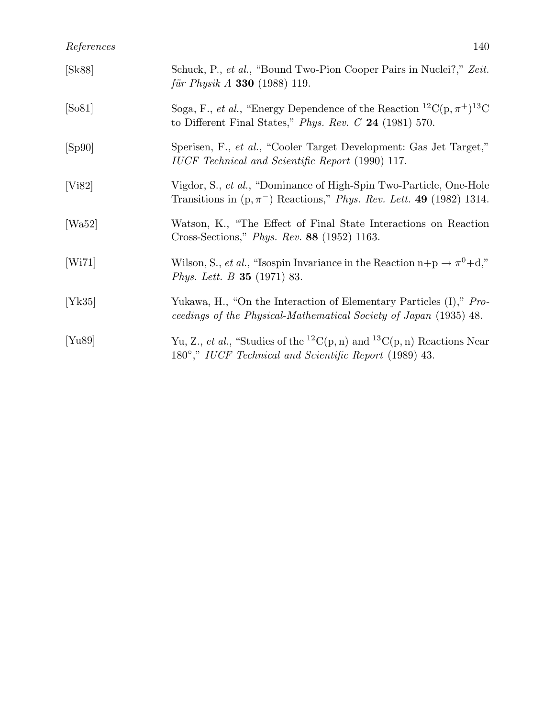| [Sk88]     | Schuck, P., et al., "Bound Two-Pion Cooper Pairs in Nuclei?," Zeit.<br><i>für Physik A</i> <b>330</b> (1988) 119.                                                                      |
|------------|----------------------------------------------------------------------------------------------------------------------------------------------------------------------------------------|
| [So81]     | Soga, F., <i>et al.</i> , "Energy Dependence of the Reaction <sup>12</sup> C(p, $\pi$ <sup>+</sup> ) <sup>13</sup> C<br>to Different Final States," <i>Phys. Rev. C</i> 24 (1981) 570. |
| [Sp90]     | Sperisen, F., et al., "Cooler Target Development: Gas Jet Target,"<br>IUCF Technical and Scientific Report (1990) 117.                                                                 |
| [Vi82]     | Vigdor, S., et al., "Dominance of High-Spin Two-Particle, One-Hole<br>Transitions in $(p, \pi^{-})$ Reactions," <i>Phys. Rev. Lett.</i> 49 (1982) 1314.                                |
| [ $Wa52$ ] | Watson, K., "The Effect of Final State Interactions on Reaction<br>Cross-Sections," <i>Phys. Rev.</i> 88 (1952) 1163.                                                                  |
| [Wi71]     | Wilson, S., <i>et al.</i> , "Isospin Invariance in the Reaction $n+p \rightarrow \pi^0+d$ ,"<br><i>Phys. Lett. B</i> <b>35</b> (1971) 83.                                              |
| [Yk35]     | Yukawa, H., "On the Interaction of Elementary Particles (I)," Pro-<br>ceedings of the Physical-Mathematical Society of Japan (1935) 48.                                                |
| [Yu89]     | Yu, Z., et al., "Studies of the <sup>12</sup> C(p, n) and <sup>13</sup> C(p, n) Reactions Near<br>180°," IUCF Technical and Scientific Report (1989) 43.                               |